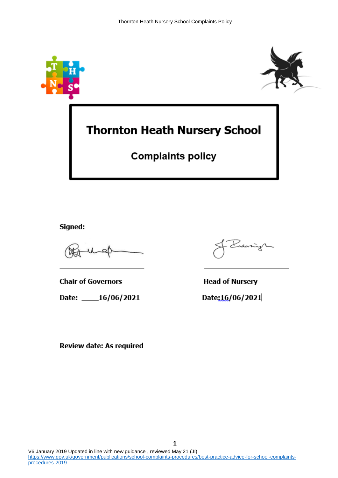



# **Thornton Heath Nursery School**

## **Complaints policy**

Signed:

**Chair of Governors** 

Date: \_\_\_\_16/06/2021

daring

**Head of Nursery** 

Date:16/06/2021

Review date: As required

**1**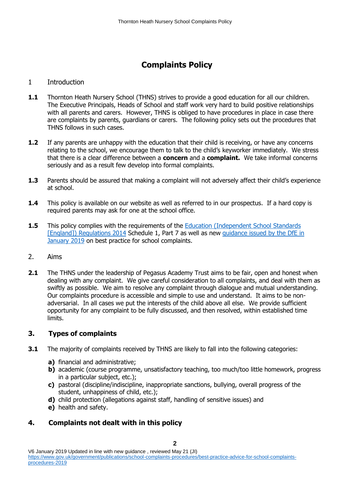### **Complaints Policy**

#### 1 Introduction

- **1.1** Thornton Heath Nursery School (THNS) strives to provide a good education for all our children. The Executive Principals, Heads of School and staff work very hard to build positive relationships with all parents and carers. However, THNS is obliged to have procedures in place in case there are complaints by parents, guardians or carers. The following policy sets out the procedures that THNS follows in such cases.
- **1.2** If any parents are unhappy with the education that their child is receiving, or have any concerns relating to the school, we encourage them to talk to the child's keyworker immediately. We stress that there is a clear difference between a **concern** and a **complaint.** We take informal concerns seriously and as a result few develop into formal complaints.
- **1.3** Parents should be assured that making a complaint will not adversely affect their child's experience at school.
- **1.4** This policy is available on our website as well as referred to in our prospectus. If a hard copy is required parents may ask for one at the school office.
- **1.5** This policy complies with the requirements of the Education (Independent School Standards [England]) [Regulations 2014](http://www.legislation.gov.uk/uksi/2014/3283/schedule/made) Schedule 1, Part 7 as well as new guidance issued by the DfE in [January 2019](https://www.gov.uk/government/publications/school-complaints-procedures/best-practice-advice-for-school-complaints-procedures-2019) on best practice for school complaints.
- 2. Aims
- **2.1** The THNS under the leadership of Pegasus Academy Trust aims to be fair, open and honest when dealing with any complaint. We give careful consideration to all complaints, and deal with them as swiftly as possible. We aim to resolve any complaint through dialogue and mutual understanding. Our complaints procedure is accessible and simple to use and understand. It aims to be nonadversarial. In all cases we put the interests of the child above all else. We provide sufficient opportunity for any complaint to be fully discussed, and then resolved, within established time limits.

#### **3. Types of complaints**

- **3.1** The majority of complaints received by THNS are likely to fall into the following categories:
	- **a)** financial and administrative;
	- **b)** academic (course programme, unsatisfactory teaching, too much/too little homework, progress in a particular subject, etc.);
	- **c)** pastoral (discipline/indiscipline, inappropriate sanctions, bullying, overall progress of the student, unhappiness of child, etc.);
	- **d)** child protection (allegations against staff, handling of sensitive issues) and
	- **e)** health and safety.

#### **4. Complaints not dealt with in this policy**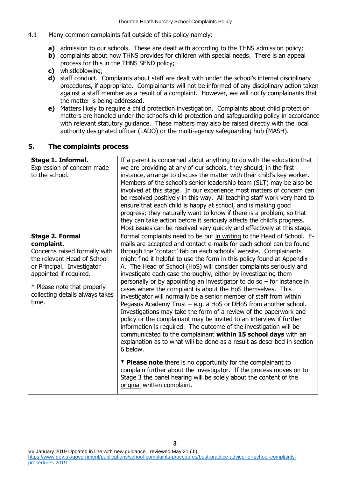- 4.1 Many common complaints fall outside of this policy namely:
	- **a)** admission to our schools. These are dealt with according to the THNS admission policy;
	- **b)** complaints about how THNS provides for children with special needs. There is an appeal process for this in the THNS SEND policy;
	- **c)** whistleblowing;
	- **d)** staff conduct. Complaints about staff are dealt with under the school's internal disciplinary procedures, if appropriate. Complainants will not be informed of any disciplinary action taken against a staff member as a result of a complaint. However, we will notify complainants that the matter is being addressed.
	- **e)** Matters likely to require a child protection investigation. Complaints about child protection matters are handled under the school's child protection and safeguarding policy in accordance with relevant statutory guidance. These matters may also be raised directly with the local authority designated officer (LADO) or the multi-agency safeguarding hub (MASH).

#### **5. The complaints process**

| Stage 1. Informal.<br>Expression of concern made<br>to the school.                                       | If a parent is concerned about anything to do with the education that<br>we are providing at any of our schools, they should, in the first<br>instance, arrange to discuss the matter with their child's key worker.<br>Members of the school's senior leadership team (SLT) may be also be<br>involved at this stage. In our experience most matters of concern can<br>be resolved positively in this way. All teaching staff work very hard to<br>ensure that each child is happy at school, and is making good<br>progress; they naturally want to know if there is a problem, so that<br>they can take action before it seriously affects the child's progress.<br>Most issues can be resolved very quickly and effectively at this stage. |
|----------------------------------------------------------------------------------------------------------|------------------------------------------------------------------------------------------------------------------------------------------------------------------------------------------------------------------------------------------------------------------------------------------------------------------------------------------------------------------------------------------------------------------------------------------------------------------------------------------------------------------------------------------------------------------------------------------------------------------------------------------------------------------------------------------------------------------------------------------------|
| <b>Stage 2. Formal</b>                                                                                   | Formal complaints need to be put in writing to the Head of School. E-                                                                                                                                                                                                                                                                                                                                                                                                                                                                                                                                                                                                                                                                          |
| complaint.<br>Concerns raised formally with<br>the relevant Head of School<br>or Principal. Investigator | mails are accepted and contact e-mails for each school can be found<br>through the 'contact' tab on each schools' website. Complainants<br>might find it helpful to use the form in this policy found at Appendix<br>A. The Head of School (HoS) will consider complaints seriously and                                                                                                                                                                                                                                                                                                                                                                                                                                                        |
| appointed if required.                                                                                   | investigate each case thoroughly, either by investigating them                                                                                                                                                                                                                                                                                                                                                                                                                                                                                                                                                                                                                                                                                 |
| * Please note that properly<br>collecting details always takes<br>time.                                  | personally or by appointing an investigator to do so $-$ for instance in<br>cases where the complaint is about the HoS themselves. This<br>investigator will normally be a senior member of staff from within<br>Pegasus Academy Trust $-$ e.g. a HoS or DHoS from another school.<br>Investigations may take the form of a review of the paperwork and<br>policy or the complainant may be invited to an interview if further<br>information is required. The outcome of the investigation will be<br>communicated to the complainant within 15 school days with an<br>explanation as to what will be done as a result as described in section<br>6 below.                                                                                    |
|                                                                                                          | * Please note there is no opportunity for the complainant to<br>complain further about the investigator. If the process moves on to<br>Stage 3 the panel hearing will be solely about the content of the<br>original written complaint.                                                                                                                                                                                                                                                                                                                                                                                                                                                                                                        |

V6 January 2019 Updated in line with new guidance , reviewed May 21 (JI) [https://www.gov.uk/government/publications/school-complaints-procedures/best-practice-advice-for-school-complaints](https://www.gov.uk/government/publications/school-complaints-procedures/best-practice-advice-for-school-complaints-procedures-2019)[procedures-2019](https://www.gov.uk/government/publications/school-complaints-procedures/best-practice-advice-for-school-complaints-procedures-2019)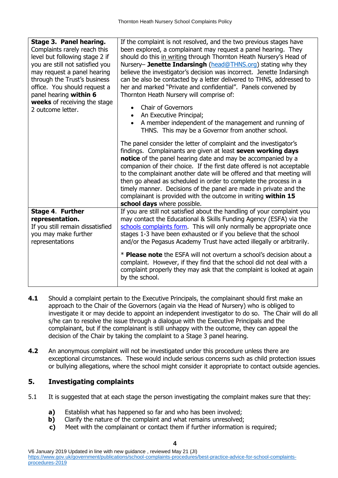| Stage 3. Panel hearing.<br>Complaints rarely reach this<br>level but following stage 2 if<br>you are still not satisfied you<br>may request a panel hearing<br>through the Trust's business<br>office. You should request a<br>panel hearing within 6<br>weeks of receiving the stage<br>2 outcome letter. | If the complaint is not resolved, and the two previous stages have<br>been explored, a complainant may request a panel hearing. They<br>should do this in writing through Thornton Heath Nursery's Head of<br>Nursery- Jenette Indarsingh (head@THNS.org) stating why they<br>believe the investigator's decision was incorrect. Jenette Indarsingh<br>can be also be contacted by a letter delivered to THNS, addressed to<br>her and marked "Private and confidential". Panels convened by<br>Thornton Heath Nursery will comprise of:<br><b>Chair of Governors</b><br>An Executive Principal;<br>A member independent of the management and running of<br>THNS. This may be a Governor from another school. |
|------------------------------------------------------------------------------------------------------------------------------------------------------------------------------------------------------------------------------------------------------------------------------------------------------------|----------------------------------------------------------------------------------------------------------------------------------------------------------------------------------------------------------------------------------------------------------------------------------------------------------------------------------------------------------------------------------------------------------------------------------------------------------------------------------------------------------------------------------------------------------------------------------------------------------------------------------------------------------------------------------------------------------------|
|                                                                                                                                                                                                                                                                                                            | The panel consider the letter of complaint and the investigator's<br>findings. Complainants are given at least seven working days<br>notice of the panel hearing date and may be accompanied by a<br>companion of their choice. If the first date offered is not acceptable<br>to the complainant another date will be offered and that meeting will<br>then go ahead as scheduled in order to complete the process in a<br>timely manner. Decisions of the panel are made in private and the<br>complainant is provided with the outcome in writing within 15<br>school days where possible.                                                                                                                  |
| Stage 4. Further<br>representation.<br>If you still remain dissatisfied<br>you may make further<br>representations                                                                                                                                                                                         | If you are still not satisfied about the handling of your complaint you<br>may contact the Educational & Skills Funding Agency (ESFA) via the<br>schools complaints form. This will only normally be appropriate once<br>stages 1-3 have been exhausted or if you believe that the school<br>and/or the Pegasus Academy Trust have acted illegally or arbitrarily.<br>* Please note the ESFA will not overturn a school's decision about a<br>complaint. However, if they find that the school did not deal with a<br>complaint properly they may ask that the complaint is looked at again<br>by the school.                                                                                                  |

- **4.1** Should a complaint pertain to the Executive Principals, the complainant should first make an approach to the Chair of the Governors (again via the Head of Nursery) who is obliged to investigate it or may decide to appoint an independent investigator to do so. The Chair will do all s/he can to resolve the issue through a dialogue with the Executive Principals and the complainant, but if the complainant is still unhappy with the outcome, they can appeal the decision of the Chair by taking the complaint to a Stage 3 panel hearing.
- **4.2** An anonymous complaint will not be investigated under this procedure unless there are exceptional circumstances. These would include serious concerns such as child protection issues or bullying allegations, where the school might consider it appropriate to contact outside agencies.

#### **5. Investigating complaints**

- 5.1 It is suggested that at each stage the person investigating the complaint makes sure that they:
	- **a)** Establish what has happened so far and who has been involved;
	- **b)** Clarify the nature of the complaint and what remains unresolved;
	- **c)** Meet with the complainant or contact them if further information is required;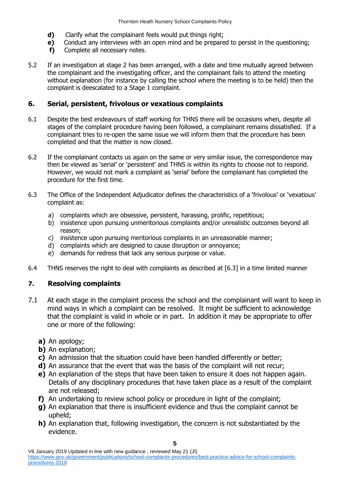- **d)** Clarify what the complainant feels would put things right;
- **e)** Conduct any interviews with an open mind and be prepared to persist in the questioning;
- **f)** Complete all necessary notes.
- 5.2 If an investigation at stage 2 has been arranged, with a date and time mutually agreed between the complainant and the investigating officer, and the complainant fails to attend the meeting without explanation (for instance by calling the school where the meeting is to be held) then the complaint is deescalated to a Stage 1 complaint.

#### **6. Serial, persistent, frivolous or vexatious complaints**

- 6.1 Despite the best endeavours of staff working for THNS there will be occasions when, despite all stages of the complaint procedure having been followed, a complainant remains dissatisfied. If a complainant tries to re-open the same issue we will inform them that the procedure has been completed and that the matter is now closed.
- 6.2 If the complainant contacts us again on the same or very similar issue, the correspondence may then be viewed as 'serial' or 'persistent' and THNS is within its rights to choose not to respond. However, we would not mark a complaint as 'serial' before the complainant has completed the procedure for the first time.
- 6.3 The Office of the Independent Adjudicator defines the characteristics of a 'frivolous' or 'vexatious' complaint as:
	- a) complaints which are obsessive, persistent, harassing, prolific, repetitious;
	- b) insistence upon pursuing unmeritorious complaints and/or unrealistic outcomes beyond all reason;
	- c) insistence upon pursuing meritorious complaints in an unreasonable manner;
	- d) complaints which are designed to cause disruption or annoyance;
	- e) demands for redress that lack any serious purpose or value.
- 6.4 THNS reserves the right to deal with complaints as described at [6.3] in a time limited manner

#### **7. Resolving complaints**

- 7.1 At each stage in the complaint process the school and the complainant will want to keep in mind ways in which a complaint can be resolved. It might be sufficient to acknowledge that the complaint is valid in whole or in part. In addition it may be appropriate to offer one or more of the following:
	- **a)** An apology;
	- **b)** An explanation;
	- **c)** An admission that the situation could have been handled differently or better;
	- **d)** An assurance that the event that was the basis of the complaint will not recur;
	- **e)** An explanation of the steps that have been taken to ensure it does not happen again. Details of any disciplinary procedures that have taken place as a result of the complaint are not released;
	- **f)** An undertaking to review school policy or procedure in light of the complaint;
	- **g)** An explanation that there is insufficient evidence and thus the complaint cannot be upheld;
	- **h)** An explanation that, following investigation, the concern is not substantiated by the evidence.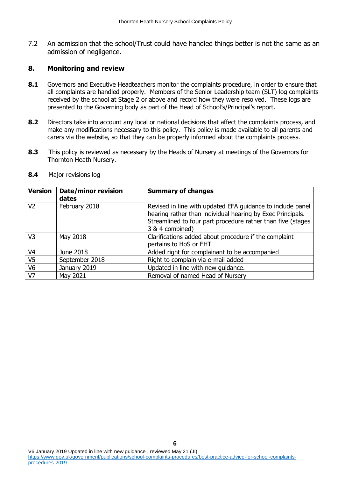7.2 An admission that the school/Trust could have handled things better is not the same as an admission of negligence.

#### **8. Monitoring and review**

- **8.1** Governors and Executive Headteachers monitor the complaints procedure, in order to ensure that all complaints are handled properly. Members of the Senior Leadership team (SLT) log complaints received by the school at Stage 2 or above and record how they were resolved. These logs are presented to the Governing body as part of the Head of School's/Principal's report.
- **8.2** Directors take into account any local or national decisions that affect the complaints process, and make any modifications necessary to this policy. This policy is made available to all parents and carers via the website, so that they can be properly informed about the complaints process.
- **8.3** This policy is reviewed as necessary by the Heads of Nursery at meetings of the Governors for Thornton Heath Nursery.

| <b>Version</b> | <b>Date/minor revision</b><br>dates | <b>Summary of changes</b>                                                                                                                                                                                  |
|----------------|-------------------------------------|------------------------------------------------------------------------------------------------------------------------------------------------------------------------------------------------------------|
| V <sub>2</sub> | February 2018                       | Revised in line with updated EFA guidance to include panel<br>hearing rather than individual hearing by Exec Principals.<br>Streamlined to four part procedure rather than five (stages<br>3 & 4 combined) |
| V <sub>3</sub> | May 2018                            | Clarifications added about procedure if the complaint<br>pertains to HoS or EHT                                                                                                                            |
| V <sub>4</sub> | June 2018                           | Added right for complainant to be accompanied                                                                                                                                                              |
| V <sub>5</sub> | September 2018                      | Right to complain via e-mail added                                                                                                                                                                         |
| V <sub>6</sub> | January 2019                        | Updated in line with new guidance.                                                                                                                                                                         |
| V7             | May 2021                            | Removal of named Head of Nursery                                                                                                                                                                           |

**8.4** Major revisions log